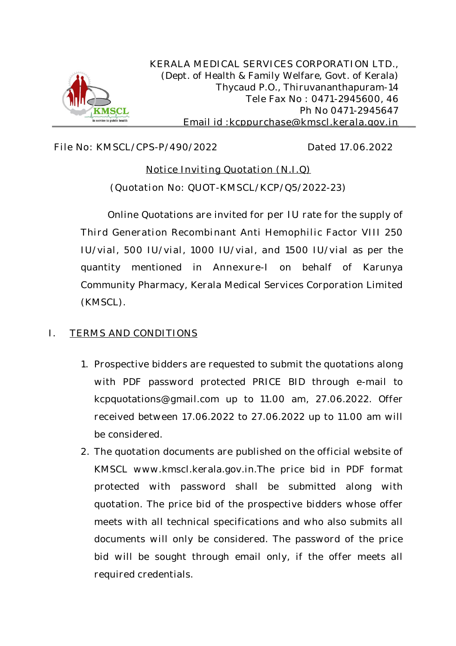

**KERALA MEDICAL SERVICES CORPORATION LTD.,** *(Dept. of Health & Family Welfare, Govt. of Kerala)* Thycaud P.O., Thiruvananthapuram-14 Tele Fax No : 0471-2945600, 46 Ph No 0471-2945647 Email id :**kcppurchase@kmscl.kerala.gov.in**

# **File No: KMSCL/CPS-P/490/2022 Dated 17.06.2022**

# **Notice Inviting Quotation (N.I.Q) (Quotation No: QUOT-KMSCL/KCP/Q5/2022-23)**

Online Quotations are invited for **per IU** rate for the supply of **Third Generation Recombinant Anti Hemophilic Factor VIII 250 IU/vial, 500 IU/vial, 1000 IU/vial, and 1500 IU/vial** as per the quantity mentioned in **Annexure-I** on behalf of Karunya Community Pharmacy, Kerala Medical Services Corporation Limited (KMSCL).

# **I. TERMS AND CONDITIONS**

- **1.** Prospective bidders are requested to submit the quotations along with PDF password protected PRICE BID through e-mail to kcpquotations@gmail.com up to 11.00 am, 27.06.2022. Offer received between 17.06.2022 to 27.06.2022 up to 11.00 am will be considered.
- **2.** The quotation documents are published on the official website of KMSCL www.kmscl.kerala.gov.in.The price bid in PDF format protected with password shall be submitted along with quotation. The price bid of the prospective bidders whose offer meets with all technical specifications and who also submits all documents will only be considered. The password of the price bid will be sought through email only, if the offer meets all required credentials.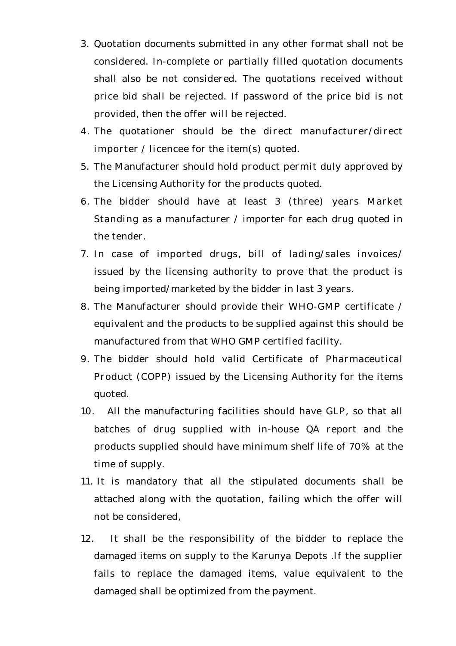- **3.** Quotation documents submitted in any other format shall not be considered. In-complete or partially filled quotation documents shall also be not considered. The quotations received without price bid shall be rejected. If password of the price bid is not provided, then the offer will be rejected.
- **4.** The quotationer should be the **direct manufacturer/direct importer / licencee** for the item(s) quoted.
- **5.** The Manufacturer should hold **product permit** duly approved by the Licensing Authority for the products quoted.
- **6.** The bidder should have at least **3 (three) years Market Standing** as a manufacturer / importer for each drug quoted in the tender.
- **7. In case of imported drugs, bill of lading/sales invoices**/ issued by the licensing authority to prove that the product is being imported/marketed by the bidder in last 3 years.
- **8.** The Manufacturer should provide their **WHO-GMP** certificate / equivalent and the products to be supplied against this should be manufactured from that WHO GMP certified facility.
- **9.** The bidder should hold valid Certificate of **Pharmaceutical Product (COPP)** issued by the Licensing Authority for the items quoted.
- **10.** All the manufacturing facilities should have **GLP**, so that all batches of drug supplied with in-house QA report and the products supplied should have minimum shelf life of **70%** at the time of supply.
- **11.** It is mandatory that all the stipulated documents shall be attached along with the quotation, failing which the offer will not be considered,
- **12.** It shall be the responsibility of the bidder to replace the damaged items on supply to the Karunya Depots .If the supplier fails to replace the damaged items, value equivalent to the damaged shall be optimized from the payment.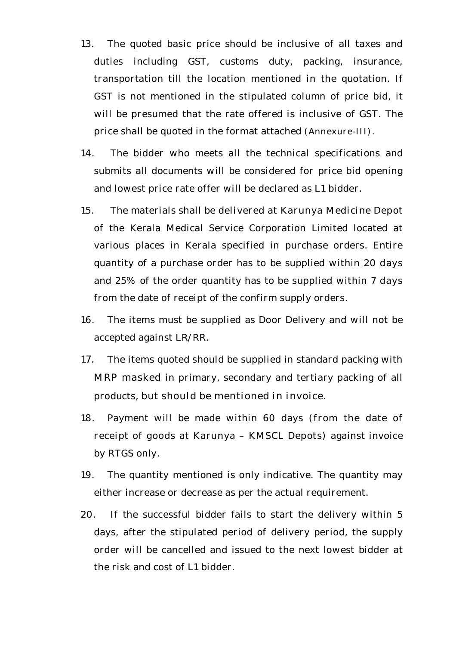- **13.** The quoted basic price should be inclusive of all taxes and duties including GST, customs duty, packing, insurance, transportation till the location mentioned in the quotation. If GST is not mentioned in the stipulated column of price bid, it will be presumed that the rate offered is inclusive of GST. The price shall be quoted in the format attached **(Annexure-III).**
- **14.** The bidder who meets all the technical specifications and submits all documents will be considered for price bid opening and lowest price rate offer will be declared as L1 bidder.
- **15.** The materials shall be **delivered at Karunya Medicine Depot**  of the Kerala Medical Service Corporation Limited located at various places in Kerala specified in purchase orders. Entire quantity of a purchase order has to be supplied within **20 days**  and 25% of the order quantity has to be supplied within **7 days**  from the date of receipt of the confirm supply orders.
- **16.** The items must be supplied as Door Delivery and will not be accepted against LR/RR.
- **17.** The items quoted should be supplied in standard packing with **MRP masked** in primary, secondary and tertiary packing of all products, **but should be mentioned in invoice.**
- **18.** Payment will be made within 60 days **(from the date of receipt of goods at Karunya – KMSCL Depots)** against invoice by RTGS only.
- **19.** The quantity mentioned is only indicative. The quantity may either increase or decrease as per the actual requirement.
- **20.** If the successful bidder fails to start the delivery within 5 days, after the stipulated period of delivery period, the supply order will be cancelled and issued to the next lowest bidder at the risk and cost of L1 bidder.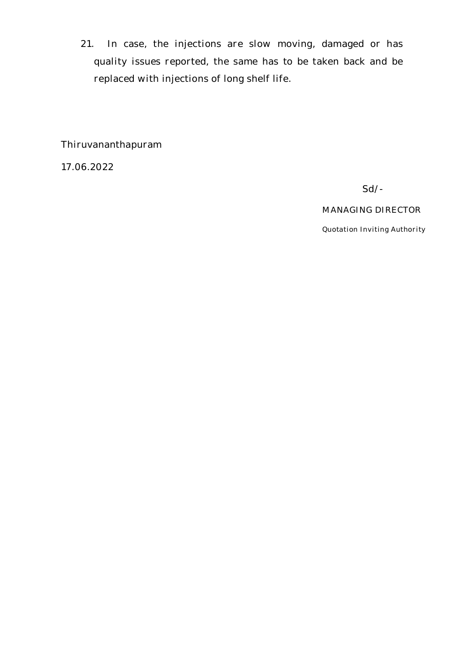**21.** In case, the injections are slow moving, damaged or has quality issues reported, the same has to be taken back and be replaced with injections of long shelf life.

Thiruvananthapuram

17.06.2022

**Sd/-**

## **MANAGING DIRECTOR**

**Quotation Inviting Authority**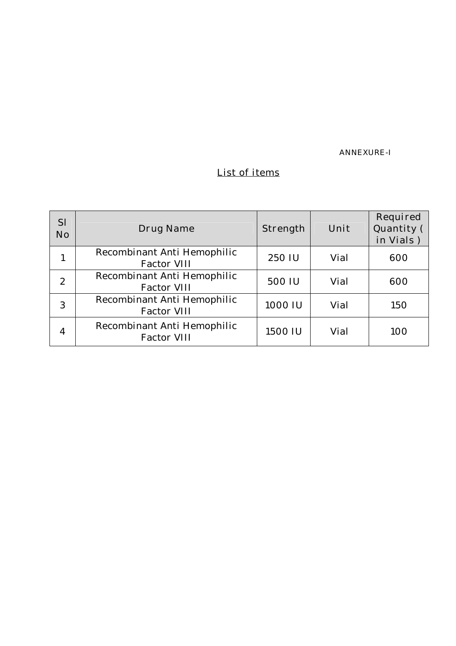**ANNEXURE-I** 

# **List of items**

| <b>SI</b><br><b>No</b> | <b>Drug Name</b>                                  | Strength | Unit | Required<br>Quantity (<br>in Vials) |
|------------------------|---------------------------------------------------|----------|------|-------------------------------------|
|                        | Recombinant Anti Hemophilic<br><b>Factor VIII</b> | 250 IU   | Vial | 600                                 |
| 2                      | Recombinant Anti Hemophilic<br><b>Factor VIII</b> | 500 IU   | Vial | 600                                 |
| 3                      | Recombinant Anti Hemophilic<br><b>Factor VIII</b> | 1000 IU  | Vial | 150                                 |
| 4                      | Recombinant Anti Hemophilic<br><b>Factor VIII</b> | 1500 IU  | Vial | 100                                 |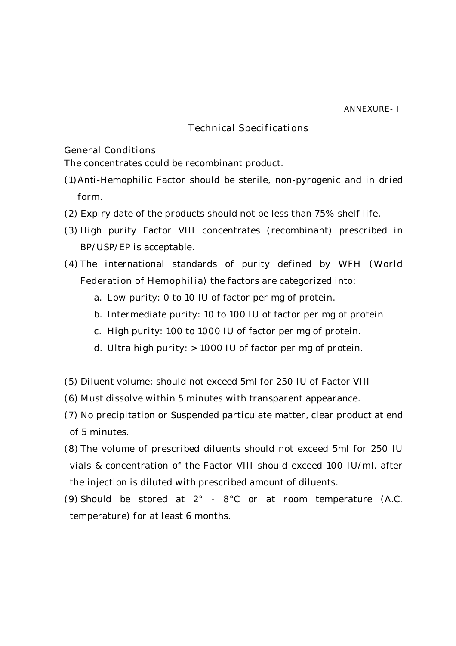#### **ANNEXURE-II**

# **Technical Specifications**

### **General Conditions**

The concentrates could be recombinant product.

- (1)Anti-Hemophilic Factor should be sterile, non-pyrogenic and in dried form.
- (2) Expiry date of the products should not be less than 75% shelf life.
- (3) High purity Factor VIII concentrates (recombinant) prescribed in BP/USP/EP is acceptable.
- (4) The international standards of purity defined by **WFH (World Federation of Hemophilia)** the factors are categorized into:
	- a. Low purity: 0 to 10 IU of factor per mg of protein.
	- b. Intermediate purity: 10 to 100 IU of factor per mg of protein
	- c. High purity: 100 to 1000 IU of factor per mg of protein.
	- d. Ultra high purity: > 1000 IU of factor per mg of protein.
- (5) Diluent volume: should not exceed 5ml for 250 IU of Factor VIII
- (6) Must dissolve within 5 minutes with transparent appearance.
- (7) No precipitation or Suspended particulate matter, clear product at end of 5 minutes.
- (8) The volume of prescribed diluents should not exceed 5ml for 250 IU vials & concentration of the Factor VIII should exceed 100 IU/ml. after the injection is diluted with prescribed amount of diluents.
- (9) Should be stored at 2° 8°C or at room temperature (A.C. temperature) for at least 6 months.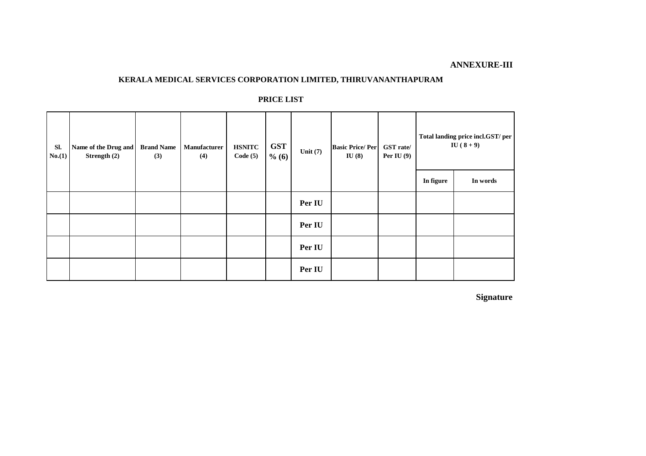## **ANNEXURE-III**

#### **KERALA MEDICAL SERVICES CORPORATION LIMITED, THIRUVANANTHAPURAM**

#### **PRICE LIST**

| Sl.<br>No. (1) | Name of the Drug and<br>Strength (2) | <b>Brand Name</b><br>(3) | <b>Manufacturer</b><br>(4) | <b>HSNITC</b><br>Code(5) | <b>GST</b><br>% (6) | Unit $(7)$ | <b>Basic Price/Per</b><br>IU(8) | <b>GST</b> rate/<br>Per IU $(9)$ |           | Total landing price incl.GST/ per<br>$IU(8+9)$ |
|----------------|--------------------------------------|--------------------------|----------------------------|--------------------------|---------------------|------------|---------------------------------|----------------------------------|-----------|------------------------------------------------|
|                |                                      |                          |                            |                          |                     |            |                                 |                                  | In figure | In words                                       |
|                |                                      |                          |                            |                          |                     | Per IU     |                                 |                                  |           |                                                |
|                |                                      |                          |                            |                          |                     | Per IU     |                                 |                                  |           |                                                |
|                |                                      |                          |                            |                          |                     | Per IU     |                                 |                                  |           |                                                |
|                |                                      |                          |                            |                          |                     | Per IU     |                                 |                                  |           |                                                |

**Signature**